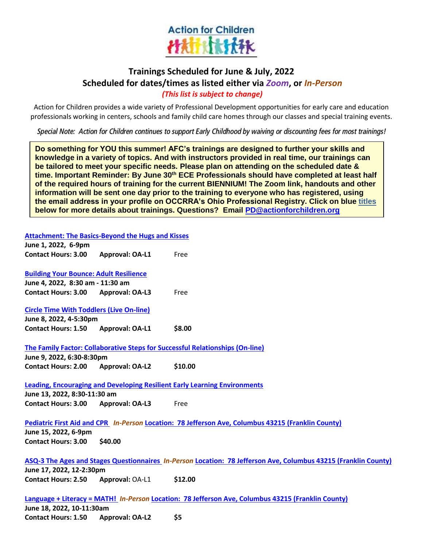

# **Trainings Scheduled for June & July, 2022 Scheduled for dates/times as listed either via** *Zoom***, or** *In-Person (This list is subject to change)*

Action for Children provides a wide variety of Professional Development opportunities for early care and education professionals working in centers, schools and family child care homes through our classes and special training events.

*Special Note: Action for Children continues to support Early Childhood by waiving or discounting fees for most trainings!*

**Do something for YOU this summer! AFC's trainings are designed to further your skills and knowledge in a variety of topics. And with instructors provided in real time, our trainings can be tailored to meet your specific needs. Please plan on attending on the scheduled date & time. Important Reminder: By June 30th ECE Professionals should have completed at least half of the required hours of training for the current BIENNIUM! The Zoom link, handouts and other information will be sent one day prior to the training to everyone who has registered, using the email address in your profile on OCCRRA's Ohio Professional Registry. Click on blue titles below for more details about trainings. Questions? Email [PD@actionforchildren.org](mailto:PD@actionforchildren.org)**

**[Attachment: The Basics-Beyond the Hugs and Kisses](https://registry.occrra.org/cart/view_training/10116828)** 

| June 1, 2022, 6-9pm                             |                        |                                                                                                                 |
|-------------------------------------------------|------------------------|-----------------------------------------------------------------------------------------------------------------|
| <b>Contact Hours: 3.00</b>                      | <b>Approval: OA-L1</b> | Free                                                                                                            |
| <b>Building Your Bounce: Adult Resilience</b>   |                        |                                                                                                                 |
| June 4, 2022, 8:30 am - 11:30 am                |                        |                                                                                                                 |
| Contact Hours: 3.00 Approval: OA-L3             |                        | Free                                                                                                            |
| <b>Circle Time With Toddlers (Live On-line)</b> |                        |                                                                                                                 |
| June 8, 2022, 4-5:30pm                          |                        |                                                                                                                 |
| Contact Hours: 1.50 Approval: OA-L1             |                        | \$8.00                                                                                                          |
|                                                 |                        | The Family Factor: Collaborative Steps for Successful Relationships (On-line)                                   |
| June 9, 2022, 6:30-8:30pm                       |                        |                                                                                                                 |
| Contact Hours: 2.00 Approval: OA-L2             |                        | \$10.00                                                                                                         |
|                                                 |                        | <b>Leading, Encouraging and Developing Resilient Early Learning Environments</b>                                |
| June 13, 2022, 8:30-11:30 am                    |                        |                                                                                                                 |
| <b>Contact Hours: 3.00</b>                      | <b>Approval: OA-L3</b> | Free                                                                                                            |
|                                                 |                        | Pediatric First Aid and CPR In-Person Location: 78 Jefferson Ave, Columbus 43215 (Franklin County)              |
| June 15, 2022, 6-9pm                            |                        |                                                                                                                 |
| <b>Contact Hours: 3.00</b>                      | \$40.00                |                                                                                                                 |
|                                                 |                        | ASQ-3 The Ages and Stages Questionnaires In-Person Location: 78 Jefferson Ave, Columbus 43215 (Franklin County) |
| June 17, 2022, 12-2:30pm                        |                        |                                                                                                                 |
| <b>Contact Hours: 2.50</b>                      | Approval: OA-L1        | \$12.00                                                                                                         |
|                                                 |                        | Language + Literacy = MATH! In-Person Location: 78 Jefferson Ave, Columbus 43215 (Franklin County)              |
| June 18, 2022, 10-11:30am                       |                        |                                                                                                                 |
|                                                 |                        |                                                                                                                 |

**Contact Hours: 1.50 Approval: OA-L2 \$5**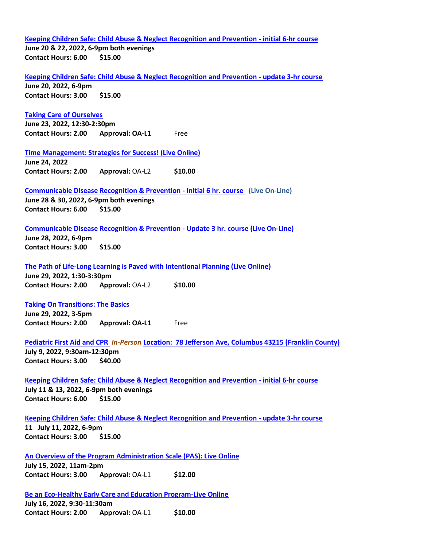**[Keeping Children Safe: Child Abuse & Neglect Recognition and Prevention -](https://registry.occrra.org/cart/view_training/10119261) initial 6-hr course June 20 & 22, 2022, 6-9pm both evenings Contact Hours: 6.00 \$15.00**

**[Keeping Children Safe: Child Abuse & Neglect Recognition and Prevention -](https://registry.occrra.org/cart/view_training/10119262) update 3-hr course June 20, 2022, 6-9pm**

**Contact Hours: 3.00 \$15.00**

## **[Taking Care of Ourselves](https://registry.occrra.org/cart/view_training/10116833)**

**June 23, 2022, 12:30-2:30pm Contact Hours: 2.00 Approval: OA-L1** Free

**[Time Management: Strategies for Success! \(Live Online\)](https://registry.occrra.org/cart/view_training/10116821)** 

**June 24, 2022 Contact Hours: 2.00 Approval:** OA-L2 **\$10.00** 

## **[Communicable Disease Recognition & Prevention -](https://registry.occrra.org/cart/view_training/10119264) Initial 6 hr. course (Live On-Line) June 28 & 30, 2022, 6-9pm both evenings**

**Contact Hours: 6.00 \$15.00**

#### **[Communicable Disease Recognition & Prevention -](https://registry.occrra.org/cart/view_training/10119265) Update 3 hr. course (Live On-Line)**

**June 28, 2022, 6-9pm Contact Hours: 3.00 \$15.00** 

#### **[The Path of Life-Long Learning is Paved with Intentional Planning \(Live Online\)](https://registry.occrra.org/cart/view_training/10116818)**

**June 29, 2022, 1:30-3:30pm Contact Hours: 2.00 Approval:** OA-L2 **\$10.00** 

**[Taking On Transitions: The Basics](https://registry.occrra.org/cart/view_training/10116836)  June 29, 2022, 3-5pm**

**Contact Hours: 2.00 Approval: OA-L1** Free

#### **[Pediatric First Aid and CPR](https://registry.occrra.org/cart/view_training/10119268)** *In-Person* **[Location: 78 Jefferson Ave, Columbus 43215 \(Franklin County\)](https://maps.google.com/?daddr=78%20Jefferson%20Ave%20Columbus%20OH%2043215)**

**July 9, 2022, 9:30am-12:30pm Contact Hours: 3.00 \$40.00** 

#### **[Keeping Children Safe: Child Abuse & Neglect Recognition and Prevention -](https://registry.occrra.org/cart/view_training/10119269) initial 6-hr course July 11 & 13, 2022, 6-9pm both evenings Contact Hours: 6.00 \$15.00**

## **[Keeping Children Safe: Child Abuse & Neglect Recognition and Prevention -](https://registry.occrra.org/cart/view_training/10119270) update 3-hr course**

**11 July 11, 2022, 6-9pm Contact Hours: 3.00 \$15.00**

## **[An Overview of the Program Administration Scale \(PAS\): Live Online](https://registry.occrra.org/cart/view_training/10119271)**

**July 15, 2022, 11am-2pm Contact Hours: 3.00 Approval:** OA-L1 **\$12.00**

**[Be an Eco-Healthy Early Care and Education Program-Live Online](https://registry.occrra.org/cart/view_training/10117973)  July 16, 2022, 9:30-11:30am Contact Hours: 2.00 Approval:** OA-L1 **\$10.00**